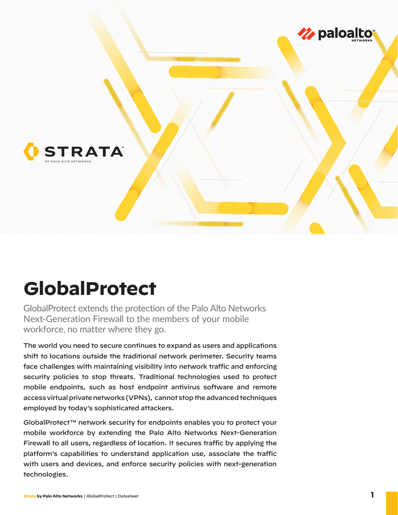

# **GlobalProtect**

GlobalProtect extends the protection of the Palo Alto Networks Next-Generation Firewall to the members of your mobile workforce, no matter where they go.

The world you need to secure continues to expand as users and applications shift to locations outside the traditional network perimeter. Security teams face challenges with maintaining visibility into network traffic and enforcing security policies to stop threats. Traditional technologies used to protect mobile endpoints, such as host endpoint antivirus software and remote access virtual private networks (VPNs), cannot stop the advanced techniques employed by today's sophisticated attackers.

GlobalProtect™ network security for endpoints enables you to protect your mobile workforce by extending the Palo Alto Networks Next-Generation Firewall to all users, regardless of location. It secures traffic by applying the platform's capabilities to understand application use, associate the traffic with users and devices, and enforce security policies with next-generation technologies.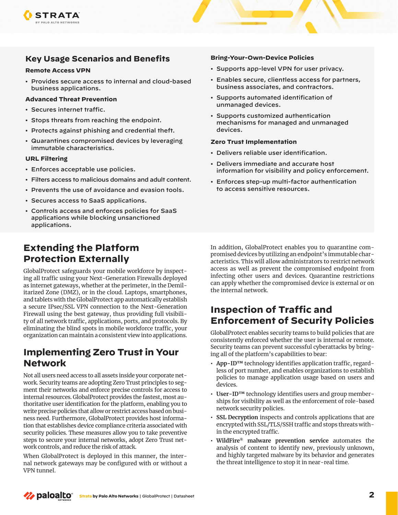

### **Key Usage Scenarios and Benefits**

#### **Remote Access VPN**

• Provides secure access to internal and cloud-based business applications.

#### **Advanced Threat Prevention**

- Secures internet traffic.
- Stops threats from reaching the endpoint.
- Protects against phishing and credential theft.
- Quarantines compromised devices by leveraging immutable characteristics.

#### **URL Filtering**

- Enforces acceptable use policies.
- Filters access to malicious domains and adult content.
- Prevents the use of avoidance and evasion tools.
- Secures access to SaaS applications.
- Controls access and enforces policies for SaaS applications while blocking unsanctioned applications.

### **Extending the Platform Protection Externally**

GlobalProtect safeguards your mobile workforce by inspecting all traffic using your Next-Generation Firewalls deployed as internet gateways, whether at the perimeter, in the Demilitarized Zone (DMZ), or in the cloud. Laptops, smartphones, and tablets with the GlobalProtect app automatically establish a secure IPsec/SSL VPN connection to the Next-Generation Firewall using the best gateway, thus providing full visibility of all network traffic, applications, ports, and protocols. By eliminating the blind spots in mobile workforce traffic, your organization can maintain a consistent view into applications.

### **Implementing Zero Trust in Your Network**

Not all users need access to all assets inside your corporate network. Security teams are adopting Zero Trust principles to segment their networks and enforce precise controls for access to internal resources. GlobalProtect provides the fastest, most authoritative user identification for the platform, enabling you to write precise policies that allow or restrict access based on business need. Furthermore, GlobalProtect provides host information that establishes device compliance criteria associated with security policies. These measures allow you to take preventive steps to secure your internal networks, adopt Zero Trust network controls, and reduce the risk of attack.

When GlobalProtect is deployed in this manner, the internal network gateways may be configured with or without a VPN tunnel.

#### **Bring-Your-Own-Device Policies**

- Supports app-level VPN for user privacy.
- Enables secure, clientless access for partners, business associates, and contractors.
- Supports automated identification of unmanaged devices.
- Supports customized authentication mechanisms for managed and unmanaged devices.

#### **Zero Trust Implementation**

- Delivers reliable user identification.
- Delivers immediate and accurate host information for visibility and policy enforcement.
- Enforces step-up multi-factor authentication to access sensitive resources.

In addition, GlobalProtect enables you to quarantine compromised devices by utilizing an endpoint's immutable characteristics. This will allow administrators to restrict network access as well as prevent the compromised endpoint from infecting other users and devices. Quarantine restrictions can apply whether the compromised device is external or on the internal network.

### **Inspection of Traffic and Enforcement of Security Policies**

GlobalProtect enables security teams to build policies that are consistently enforced whether the user is internal or remote. Security teams can prevent successful cyberattacks by bringing all of the platform's capabilities to bear:

- **• App-ID™** technology identifies application traffic, regardless of port number, and enables organizations to establish policies to manage application usage based on users and devices.
- **• User-ID™** technology identifies users and group memberships for visibility as well as the enforcement of role-based network security policies.
- **• SSL Decryption** inspects and controls applications that are encrypted with SSL/TLS/SSH traffic and stops threats within the encrypted traffic.
- **• WildFire® malware prevention service** automates the analysis of content to identify new, previously unknown, and highly targeted malware by its behavior and generates the threat intelligence to stop it in near-real time.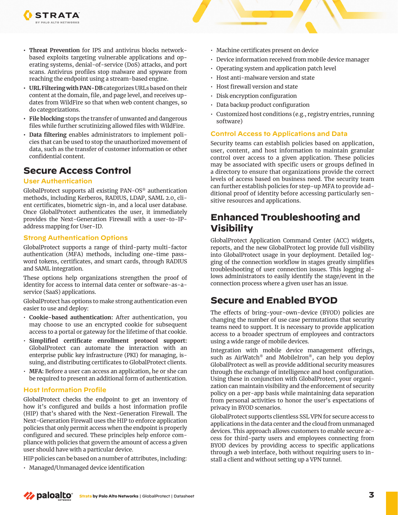

- **• URL Filtering with PAN-DB** categorizes URLs based on their content at the domain, file, and page level, and receives updates from WildFire so that when web content changes, so do categorizations.
- **• File blocking** stops the transfer of unwanted and dangerous files while further scrutinizing allowed files with WildFire.
- **• Data filtering** enables administrators to implement policies that can be used to stop the unauthorized movement of data, such as the transfer of customer information or other confidential content.

### **Secure Access Control**

### **User Authentication**

**STRATA** ALO ALTO NETWORKS

GlobalProtect supports all existing PAN-OS® authentication methods, including Kerberos, RADIUS, LDAP, SAML 2.0, client certificates, biometric sign-in, and a local user database. Once GlobalProtect authenticates the user, it immediately provides the Next-Generation Firewall with a user-to-IPaddress mapping for User-ID.

### **Strong Authentication Options**

GlobalProtect supports a range of third-party multi-factor authentication (MFA) methods, including one-time password tokens, certificates, and smart cards, through RADIUS and SAML integration.

These options help organizations strengthen the proof of identity for access to internal data center or software-as-aservice (SaaS) applications.

GlobalProtect has options to make strong authentication even easier to use and deploy:

- **Cookie-based authentication:** After authentication, you may choose to use an encrypted cookie for subsequent access to a portal or gateway for the lifetime of that cookie.
- **Simplified certificate enrollment protocol support:**  GlobalProtect can automate the interaction with an enterprise public key infrastructure (PKI) for managing, issuing, and distributing certificates to GlobalProtect clients.
- **MFA:** Before a user can access an application, he or she can be required to present an additional form of authentication.

#### **Host Information Profile**

GlobalProtect checks the endpoint to get an inventory of how it's configured and builds a host information profile (HIP) that's shared with the Next-Generation Firewall. The Next-Generation Firewall uses the HIP to enforce application policies that only permit access when the endpoint is properly configured and secured. These principles help enforce compliance with policies that govern the amount of access a given user should have with a particular device.

HIP policies can be based on a number of attributes, including:

• Managed/Unmanaged device identification

- Machine certificates present on device
- Device information received from mobile device manager
- Operating system and application patch level
- Host anti-malware version and state
- Host firewall version and state
- Disk encryption configuration
- Data backup product configuration
- Customized host conditions (e.g., registry entries, running software)

### **Control Access to Applications and Data**

Security teams can establish policies based on application, user, content, and host information to maintain granular control over access to a given application. These policies may be associated with specific users or groups defined in a directory to ensure that organizations provide the correct levels of access based on business need. The security team can further establish policies for step-up MFA to provide additional proof of identity before accessing particularly sensitive resources and applications.

### **Enhanced Troubleshooting and Visibility**

GlobalProtect Application Command Center (ACC) widgets, reports, and the new GlobalProtect log provide full visibility into GlobalProtect usage in your deployment. Detailed logging of the connection workflow in stages greatly simplifies troubleshooting of user connection issues. This logging allows administrators to easily identify the stage/event in the connection process where a given user has an issue.

### **Secure and Enabled BYOD**

The effects of bring-your-own-device (BYOD) policies are changing the number of use case permutations that security teams need to support. It is necessary to provide application access to a broader spectrum of employees and contractors using a wide range of mobile devices.

Integration with mobile device management offerings, such as AirWatch® and MobileIron®, can help you deploy GlobalProtect as well as provide additional security measures through the exchange of intelligence and host configuration. Using these in conjunction with GlobalProtect, your organization can maintain visibility and the enforcement of security policy on a per-app basis while maintaining data separation from personal activities to honor the user's expectations of privacy in BYOD scenarios.

GlobalProtect supports clientless SSL VPN for secure access to applications in the data center and the cloud from unmanaged devices. This approach allows customers to enable secure access for third-party users and employees connecting from BYOD devices by providing access to specific applications through a web interface, both without requiring users to install a client and without setting up a VPN tunnel.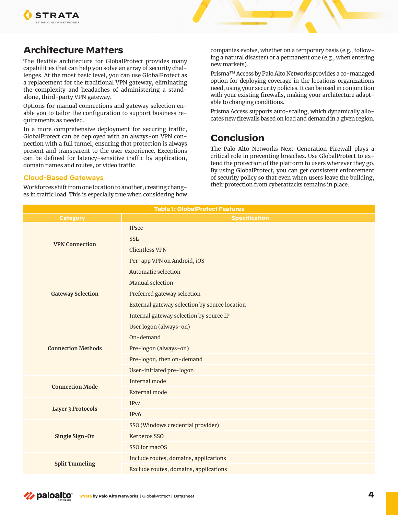

## **Architecture Matters**

The flexible architecture for GlobalProtect provides many capabilities that can help you solve an array of security challenges. At the most basic level, you can use GlobalProtect as a replacement for the traditional VPN gateway, eliminating the complexity and headaches of administering a standalone, third-party VPN gateway.

Options for manual connections and gateway selection enable you to tailor the configuration to support business requirements as needed.

In a more comprehensive deployment for securing traffic, GlobalProtect can be deployed with an always-on VPN connection with a full tunnel, ensuring that protection is always present and transparent to the user experience. Exceptions can be defined for latency-sensitive traffic by application, domain names and routes, or video traffic.

#### **Cloud-Based Gateways**

Workforces shift from one location to another, creating changes in traffic load. This is especially true when considering how companies evolve, whether on a temporary basis (e.g., following a natural disaster) or a permanent one (e.g., when entering new markets).

Prisma™ Access by Palo Alto Networks provides a co-managed option for deploying coverage in the locations organizations need, using your security policies. It can be used in conjunction with your existing firewalls, making your architecture adaptable to changing conditions.

Prisma Access supports auto-scaling, which dynamically allocates new firewalls based on load and demand in a given region.

### **Conclusion**

The Palo Alto Networks Next-Generation Firewall plays a critical role in preventing breaches. Use GlobalProtect to extend the protection of the platform to users wherever they go. By using GlobalProtect, you can get consistent enforcement of security policy so that even when users leave the building, their protection from cyberattacks remains in place.

| <b>Table 1: GlobalProtect Features</b> |                                               |  |
|----------------------------------------|-----------------------------------------------|--|
| <b>Category</b>                        | <b>Specification</b>                          |  |
| <b>VPN Connection</b>                  | <b>IPsec</b>                                  |  |
|                                        | <b>SSL</b>                                    |  |
|                                        | <b>Clientless VPN</b>                         |  |
|                                        | Per-app VPN on Android, iOS                   |  |
| <b>Gateway Selection</b>               | <b>Automatic selection</b>                    |  |
|                                        | <b>Manual selection</b>                       |  |
|                                        | Preferred gateway selection                   |  |
|                                        | External gateway selection by source location |  |
|                                        | Internal gateway selection by source IP       |  |
| <b>Connection Methods</b>              | User logon (always-on)                        |  |
|                                        | On-demand                                     |  |
|                                        | Pre-logon (always-on)                         |  |
|                                        | Pre-logon, then on-demand                     |  |
|                                        | User-initiated pre-logon                      |  |
| <b>Connection Mode</b>                 | Internal mode                                 |  |
|                                        | <b>External mode</b>                          |  |
| <b>Layer 3 Protocols</b>               | IPv4                                          |  |
|                                        | IP <sub>v6</sub>                              |  |
| Single Sign-On                         | SSO (Windows credential provider)             |  |
|                                        | Kerberos SSO                                  |  |
|                                        | SSO for macOS                                 |  |
| <b>Split Tunneling</b>                 | Include routes, domains, applications         |  |
|                                        | Exclude routes, domains, applications         |  |

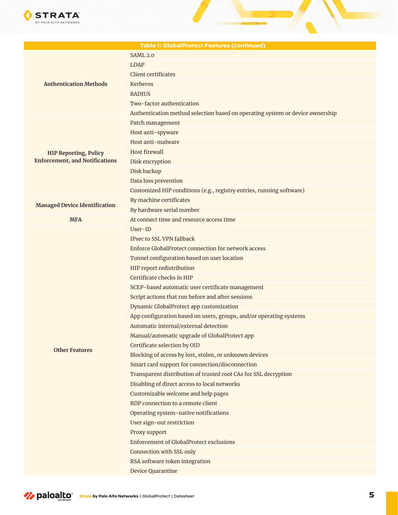

| <b>Table 1: GlobalProtect Features (continued)</b>                    |                                                                               |  |
|-----------------------------------------------------------------------|-------------------------------------------------------------------------------|--|
|                                                                       | <b>SAML 2.0</b>                                                               |  |
| <b>Authentication Methods</b>                                         | <b>LDAP</b>                                                                   |  |
|                                                                       | <b>Client certificates</b>                                                    |  |
|                                                                       | Kerberos                                                                      |  |
|                                                                       | <b>RADIUS</b>                                                                 |  |
|                                                                       | Two-factor authentication                                                     |  |
|                                                                       | Authentication method selection based on operating system or device ownership |  |
| <b>HIP Reporting, Policy</b><br><b>Enforcement, and Notifications</b> | Patch management                                                              |  |
|                                                                       | Host anti-spyware                                                             |  |
|                                                                       | Host anti-malware                                                             |  |
|                                                                       | <b>Host firewall</b>                                                          |  |
|                                                                       | Disk encryption                                                               |  |
|                                                                       | Disk backup                                                                   |  |
|                                                                       | Data loss prevention                                                          |  |
|                                                                       | Customized HIP conditions (e.g., registry entries, running software)          |  |
| <b>Managed Device Identification</b>                                  | By machine certificates                                                       |  |
|                                                                       | By hardware serial number                                                     |  |
| <b>MFA</b>                                                            | At connect time and resource access time                                      |  |
|                                                                       | User-ID                                                                       |  |
|                                                                       | IPsec to SSL VPN fallback                                                     |  |
|                                                                       | Enforce GlobalProtect connection for network access                           |  |
|                                                                       | Tunnel configuration based on user location                                   |  |
|                                                                       | HIP report redistribution                                                     |  |
|                                                                       | Certificate checks in HIP                                                     |  |
|                                                                       | SCEP-based automatic user certificate management                              |  |
|                                                                       | Script actions that run before and after sessions                             |  |
|                                                                       | Dynamic GlobalProtect app customization                                       |  |
|                                                                       | App configuration based on users, groups, and/or operating systems            |  |
| <b>Other Features</b>                                                 | Automatic internal/external detection                                         |  |
|                                                                       | Manual/automatic upgrade of GlobalProtect app                                 |  |
|                                                                       | Certificate selection by OID                                                  |  |
|                                                                       | Blocking of access by lost, stolen, or unknown devices                        |  |
|                                                                       | Smart card support for connection/disconnection                               |  |
|                                                                       | Transparent distribution of trusted root CAs for SSL decryption               |  |
|                                                                       | Disabling of direct access to local networks                                  |  |
|                                                                       | Customizable welcome and help pages                                           |  |
|                                                                       | RDP connection to a remote client                                             |  |
|                                                                       | Operating system-native notifications                                         |  |
|                                                                       | User sign-out restriction                                                     |  |
|                                                                       | Proxy support                                                                 |  |
|                                                                       | <b>Enforcement of GlobalProtect exclusions</b>                                |  |
|                                                                       | Connection with SSL only                                                      |  |
|                                                                       | RSA software token integration                                                |  |
|                                                                       | <b>Device Quarantine</b>                                                      |  |